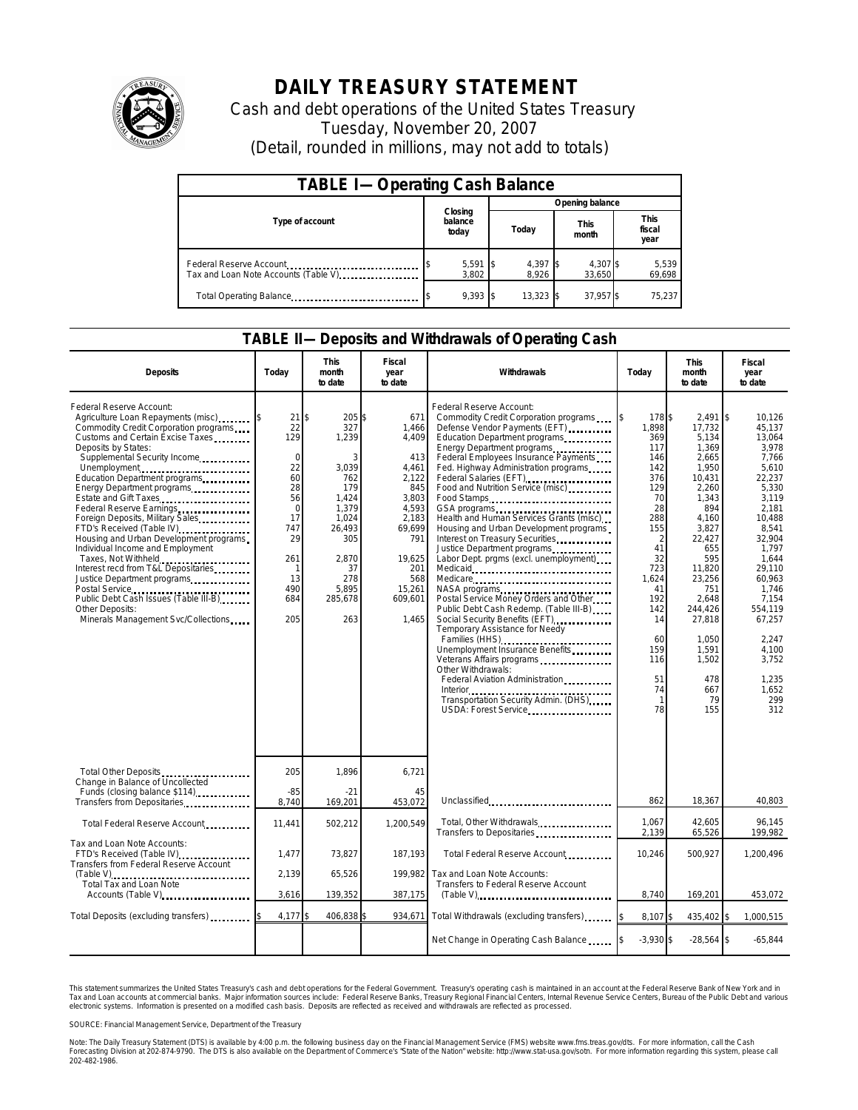

# **DAILY TREASURY STATEMENT**

Cash and debt operations of the United States Treasury Tuesday, November 20, 2007 (Detail, rounded in millions, may not add to totals)

| <b>TABLE I-Operating Cash Balance</b>                           |                             |       |                     |                      |                               |  |  |
|-----------------------------------------------------------------|-----------------------------|-------|---------------------|----------------------|-------------------------------|--|--|
|                                                                 |                             |       | Opening balance     |                      |                               |  |  |
| Type of account                                                 | Closing<br>balance<br>today | Today |                     | <b>This</b><br>month | <b>This</b><br>fiscal<br>year |  |  |
| Federal Reserve Account<br>Tax and Loan Note Accounts (Table V) | $5,591$ \$<br>3.802         |       | $4,397$ \$<br>8.926 | 4,307 \$<br>33.650   | 5,539<br>69,698               |  |  |
| Total Operating Balance                                         | $9.393$ \\$                 |       | 13,323              | 37,957 \$            | 75,237                        |  |  |

### **TABLE II—Deposits and Withdrawals of Operating Cash**

| <b>Deposits</b>                                                                                                                                                                                                                                                                                                                                                                                                                                                                                                                                                                                                                                                                                          | Todav                                                                                                                      | <b>This</b><br>month<br>to date                                                                                                                 | Fiscal<br>year<br>to date                                                                                                                               | Withdrawals                                                                                                                                                                                                                                                                                                                                                                                                                                                                                                                                                                                                                                                                                                                                                                                                                                                                                                         | Today                                                                                                                                                                                                                   | <b>This</b><br>month<br>to date                                                                                                                                                                                                                 | Fiscal<br>year<br>to date                                                                                                                                                                                                                                             |
|----------------------------------------------------------------------------------------------------------------------------------------------------------------------------------------------------------------------------------------------------------------------------------------------------------------------------------------------------------------------------------------------------------------------------------------------------------------------------------------------------------------------------------------------------------------------------------------------------------------------------------------------------------------------------------------------------------|----------------------------------------------------------------------------------------------------------------------------|-------------------------------------------------------------------------------------------------------------------------------------------------|---------------------------------------------------------------------------------------------------------------------------------------------------------|---------------------------------------------------------------------------------------------------------------------------------------------------------------------------------------------------------------------------------------------------------------------------------------------------------------------------------------------------------------------------------------------------------------------------------------------------------------------------------------------------------------------------------------------------------------------------------------------------------------------------------------------------------------------------------------------------------------------------------------------------------------------------------------------------------------------------------------------------------------------------------------------------------------------|-------------------------------------------------------------------------------------------------------------------------------------------------------------------------------------------------------------------------|-------------------------------------------------------------------------------------------------------------------------------------------------------------------------------------------------------------------------------------------------|-----------------------------------------------------------------------------------------------------------------------------------------------------------------------------------------------------------------------------------------------------------------------|
| Federal Reserve Account:<br>Agriculture Loan Repayments (misc)<br>Commodity Credit Corporation programs<br>Customs and Certain Excise Taxes<br>Deposits by States:<br>Supplemental Security Income<br>Unemployment<br>Education Department programs<br>Energy Department programs<br>Estate and Gift Taxes<br>Federal Reserve Earnings.<br>Foreign Deposits, Military Sales<br>FTD's Received (Table IV)<br>Housing and Urban Development programs<br>Individual Income and Employment<br>Taxes, Not Withheld<br>Interest recd from T&L Depositaries<br>Justice Department programs<br>Postal Service<br>Public Debt Cash Issues (Table III-B)<br>Other Deposits:<br>Minerals Management Svc/Collections | 21<br>22<br>129<br>$\Omega$<br>22<br>60<br>28<br>56<br>$\Omega$<br>17<br>747<br>29<br>261<br>-1<br>13<br>490<br>684<br>205 | \$<br>205\$<br>327<br>1,239<br>3,039<br>762<br>179<br>1,424<br>1.379<br>1,024<br>26,493<br>305<br>2,870<br>37<br>278<br>5,895<br>285,678<br>263 | 671<br>1,466<br>4,409<br>413<br>4,461<br>2,122<br>845<br>3,803<br>4,593<br>2,183<br>69,699<br>791<br>19,625<br>201<br>568<br>15,261<br>609,601<br>1,465 | Federal Reserve Account:<br>Commodity Credit Corporation programs<br>Defense Vendor Payments (EFT)<br>Education Department programs<br>Energy Department programs<br>Federal Employees Insurance Payments<br>Fed. Highway Administration programs<br>Federal Salaries (EFT)<br>Food and Nutrition Service (misc)<br>Food Stamps<br>Health and Human Services Grants (misc)<br>Housing and Urban Development programs<br>Interest on Treasury Securities<br>Justice Department programs<br>Labor Dept. prgms (excl. unemployment).<br>Medicare<br>Postal Service Money Orders and Other<br>Public Debt Cash Redemp. (Table III-B)<br>Social Security Benefits (EFT)<br><br>Temporary Assistance for Needy<br>Families (HHS)<br>Unemployment Insurance Benefits<br>Veterans Affairs programs<br>Other Withdrawals:<br>Federal Aviation Administration<br>Transportation Security Admin. (DHS)<br>USDA: Forest Service | 178\$<br>l\$<br>1,898<br>369<br>117<br>146<br>142<br>376<br>129<br>70<br>28<br>288<br>155<br>$\overline{2}$<br>41<br>32<br>723<br>1,624<br>41<br>192<br>142<br>14<br>60<br>159<br>116<br>51<br>74<br>$\mathbf{1}$<br>78 | 2,491<br>17,732<br>5,134<br>1,369<br>2,665<br>1,950<br>10,431<br>2,260<br>1,343<br>894<br>4,160<br>3,827<br>22,427<br>655<br>595<br>11,820<br>23,256<br>751<br>2,648<br>244,426<br>27,818<br>1,050<br>1,591<br>1,502<br>478<br>667<br>79<br>155 | \$<br>10,126<br>45,137<br>13,064<br>3.978<br>7.766<br>5,610<br>22,237<br>5,330<br>3,119<br>2,181<br>10.488<br>8,541<br>32,904<br>1.797<br>1,644<br>29,110<br>60,963<br>1,746<br>7,154<br>554.119<br>67,257<br>2,247<br>4,100<br>3,752<br>1,235<br>1,652<br>299<br>312 |
| Total Other Deposits<br>Change in Balance of Uncollected<br>Funds (closing balance \$114)                                                                                                                                                                                                                                                                                                                                                                                                                                                                                                                                                                                                                | 205<br>$-85$                                                                                                               | 1,896<br>$-21$                                                                                                                                  | 6,721<br>45                                                                                                                                             |                                                                                                                                                                                                                                                                                                                                                                                                                                                                                                                                                                                                                                                                                                                                                                                                                                                                                                                     |                                                                                                                                                                                                                         |                                                                                                                                                                                                                                                 |                                                                                                                                                                                                                                                                       |
| Transfers from Depositaries                                                                                                                                                                                                                                                                                                                                                                                                                                                                                                                                                                                                                                                                              | 8.740                                                                                                                      | 169.201                                                                                                                                         | 453.072                                                                                                                                                 | Unclassified                                                                                                                                                                                                                                                                                                                                                                                                                                                                                                                                                                                                                                                                                                                                                                                                                                                                                                        | 862                                                                                                                                                                                                                     | 18,367                                                                                                                                                                                                                                          | 40,803                                                                                                                                                                                                                                                                |
| Total Federal Reserve Account                                                                                                                                                                                                                                                                                                                                                                                                                                                                                                                                                                                                                                                                            | 11,441                                                                                                                     | 502,212                                                                                                                                         | 1,200,549                                                                                                                                               | Total, Other Withdrawals<br>Transfers to Depositaries                                                                                                                                                                                                                                                                                                                                                                                                                                                                                                                                                                                                                                                                                                                                                                                                                                                               | 1.067<br>2,139                                                                                                                                                                                                          | 42,605<br>65,526                                                                                                                                                                                                                                | 96,145<br>199,982                                                                                                                                                                                                                                                     |
| Tax and Loan Note Accounts:<br>FTD's Received (Table IV)<br><b>Transfers from Federal Reserve Account</b>                                                                                                                                                                                                                                                                                                                                                                                                                                                                                                                                                                                                | 1.477                                                                                                                      | 73,827                                                                                                                                          | 187.193                                                                                                                                                 | Total Federal Reserve Account                                                                                                                                                                                                                                                                                                                                                                                                                                                                                                                                                                                                                                                                                                                                                                                                                                                                                       | 10.246                                                                                                                                                                                                                  | 500.927                                                                                                                                                                                                                                         | 1.200.496                                                                                                                                                                                                                                                             |
| (Table V)<br>Total Tax and Loan Note                                                                                                                                                                                                                                                                                                                                                                                                                                                                                                                                                                                                                                                                     | 2,139                                                                                                                      | 65,526                                                                                                                                          | 199,982                                                                                                                                                 | Tax and Loan Note Accounts:<br>Transfers to Federal Reserve Account                                                                                                                                                                                                                                                                                                                                                                                                                                                                                                                                                                                                                                                                                                                                                                                                                                                 |                                                                                                                                                                                                                         |                                                                                                                                                                                                                                                 |                                                                                                                                                                                                                                                                       |
| Accounts (Table V)                                                                                                                                                                                                                                                                                                                                                                                                                                                                                                                                                                                                                                                                                       | 3,616                                                                                                                      | 139,352                                                                                                                                         | 387,175                                                                                                                                                 | $(Table V)$                                                                                                                                                                                                                                                                                                                                                                                                                                                                                                                                                                                                                                                                                                                                                                                                                                                                                                         | 8,740                                                                                                                                                                                                                   | 169,201                                                                                                                                                                                                                                         | 453,072                                                                                                                                                                                                                                                               |
| Total Deposits (excluding transfers)                                                                                                                                                                                                                                                                                                                                                                                                                                                                                                                                                                                                                                                                     | 4,177                                                                                                                      | 406,838 \$                                                                                                                                      | 934,671                                                                                                                                                 | Total Withdrawals (excluding transfers)                                                                                                                                                                                                                                                                                                                                                                                                                                                                                                                                                                                                                                                                                                                                                                                                                                                                             | 8,107 \$                                                                                                                                                                                                                | 435,402 \$                                                                                                                                                                                                                                      | 1,000,515                                                                                                                                                                                                                                                             |
|                                                                                                                                                                                                                                                                                                                                                                                                                                                                                                                                                                                                                                                                                                          |                                                                                                                            |                                                                                                                                                 |                                                                                                                                                         | Net Change in Operating Cash Balance                                                                                                                                                                                                                                                                                                                                                                                                                                                                                                                                                                                                                                                                                                                                                                                                                                                                                | $-3,930$ \$                                                                                                                                                                                                             | $-28,564$ \$                                                                                                                                                                                                                                    | $-65,844$                                                                                                                                                                                                                                                             |

This statement summarizes the United States Treasury's cash and debt operations for the Federal Government. Treasury's operating cash is maintained in an account at the Federal Reserve Bank of New York and in<br>Tax and Loan narizes the United States Treasury's cash and debt operations for the Federal Government. Treasury's operating cash is maintained in an account at the Federal Reserve Bank of New York and in<br>nts at commercial banks. Major

SOURCE: Financial Management Service, Department of the Treasury

Note: The Daily Treasury Statement (DTS) is available by 4:00 p.m. the following business day on the Financial Management Service (FMS) website www.fms.treas.gov/dts. For more information, call the Cash<br>Forecasting Divisio 202-482-1986.